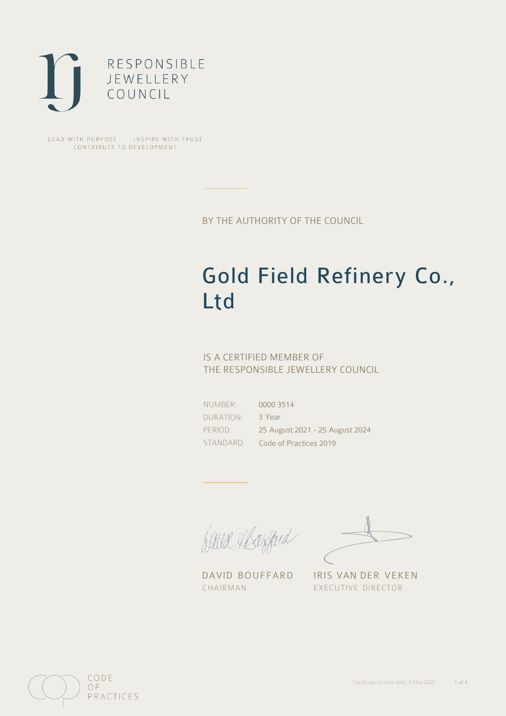

LEAD WITH PURPOSE . INSPIRE WITH TRUST CONTRIBUTE TO DEVELOPMENT

BY THE AUTHORITY OF THE COUNCIL

# Gold Field Refinery Co., Ltd

### IS A CERTIFIED MEMBER OF THE RESPONSIBLE JEWELLERY COUNCIL

NUMBER: DURATION: PERIOD:

STANDARD: Code of Practices 2019 0000 3514 3 Year 25 August 2021 - 25 August 2024

Balla Margaret

DAVID BOUFFARD IRIS VAN DER VEKEN CHAIRMAN EXECUTIVE DIRECTOR

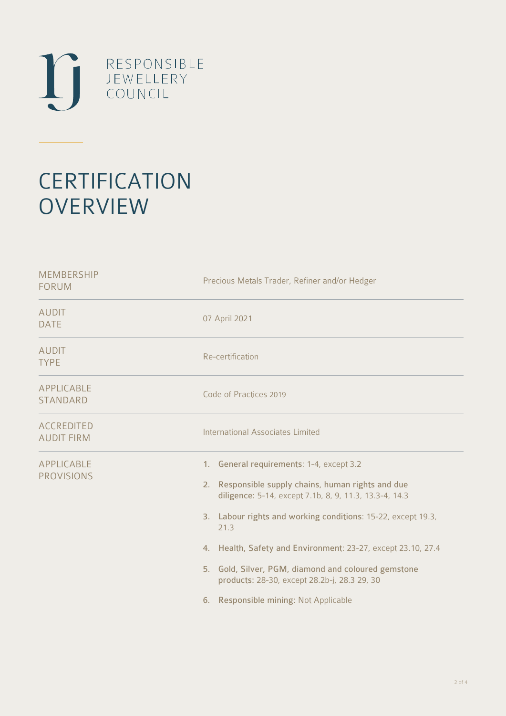

# **CERTIFICATION OVERVIEW**

| <b>MEMBERSHIP</b><br><b>FORUM</b>      | Precious Metals Trader, Refiner and/or Hedger                                                                                                                                                                                                                                                                                                                                                                                                       |
|----------------------------------------|-----------------------------------------------------------------------------------------------------------------------------------------------------------------------------------------------------------------------------------------------------------------------------------------------------------------------------------------------------------------------------------------------------------------------------------------------------|
| <b>AUDIT</b><br><b>DATE</b>            | 07 April 2021                                                                                                                                                                                                                                                                                                                                                                                                                                       |
| <b>AUDIT</b><br><b>TYPE</b>            | Re-certification                                                                                                                                                                                                                                                                                                                                                                                                                                    |
| APPLICABLE<br>STANDARD                 | Code of Practices 2019                                                                                                                                                                                                                                                                                                                                                                                                                              |
| <b>ACCREDITED</b><br><b>AUDIT FIRM</b> | <b>International Associates Limited</b>                                                                                                                                                                                                                                                                                                                                                                                                             |
| APPLICABLE<br><b>PROVISIONS</b>        | 1. General requirements: 1-4, except 3.2<br>2. Responsible supply chains, human rights and due<br>diligence: 5-14, except 7.1b, 8, 9, 11.3, 13.3-4, 14.3<br>3. Labour rights and working conditions: 15-22, except 19.3,<br>21.3<br>4. Health, Safety and Environment: 23-27, except 23.10, 27.4<br>5. Gold, Silver, PGM, diamond and coloured gemstone<br>products: 28-30, except 28.2b-j, 28.3 29, 30<br>Responsible mining: Not Applicable<br>6. |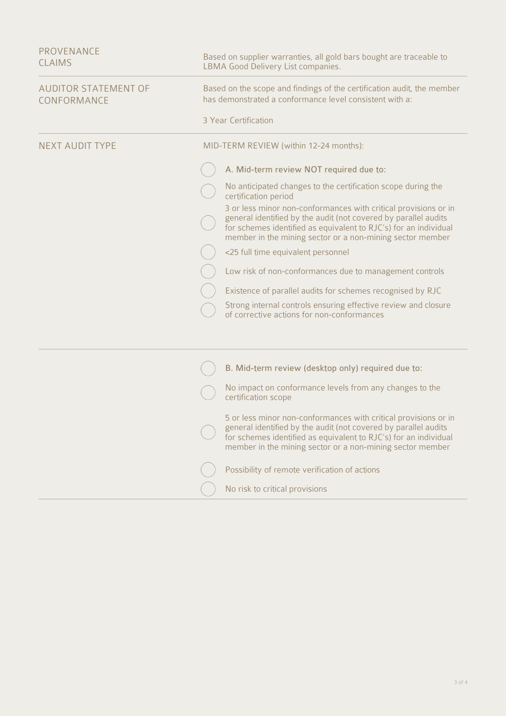| <b>PROVENANCE</b><br><b>CLAIMS</b>         | Based on supplier warranties, all gold bars bought are traceable to<br>LBMA Good Delivery List companies.                                                                                                                                                           |
|--------------------------------------------|---------------------------------------------------------------------------------------------------------------------------------------------------------------------------------------------------------------------------------------------------------------------|
| <b>AUDITOR STATEMENT OF</b><br>CONFORMANCE | Based on the scope and findings of the certification audit, the member<br>has demonstrated a conformance level consistent with a:                                                                                                                                   |
|                                            | 3 Year Certification                                                                                                                                                                                                                                                |
| <b>NEXT AUDIT TYPE</b>                     | MID-TERM REVIEW (within 12-24 months):                                                                                                                                                                                                                              |
|                                            | A. Mid-term review NOT required due to:                                                                                                                                                                                                                             |
|                                            | No anticipated changes to the certification scope during the<br>certification period                                                                                                                                                                                |
|                                            | 3 or less minor non-conformances with critical provisions or in<br>general identified by the audit (not covered by parallel audits<br>for schemes identified as equivalent to RJC's) for an individual<br>member in the mining sector or a non-mining sector member |
|                                            | <25 full time equivalent personnel                                                                                                                                                                                                                                  |
|                                            | Low risk of non-conformances due to management controls                                                                                                                                                                                                             |
|                                            | Existence of parallel audits for schemes recognised by RJC                                                                                                                                                                                                          |
|                                            | Strong internal controls ensuring effective review and closure<br>of corrective actions for non-conformances                                                                                                                                                        |
|                                            |                                                                                                                                                                                                                                                                     |
|                                            | B. Mid-term review (desktop only) required due to:                                                                                                                                                                                                                  |
|                                            | No impact on conformance levels from any changes to the<br>certification scope                                                                                                                                                                                      |
|                                            | 5 or less minor non-conformances with critical provisions or in<br>general identified by the audit (not covered by parallel audits<br>for schemes identified as equivalent to RJC's) for an individual<br>member in the mining sector or a non-mining sector member |
|                                            | Possibility of remote verification of actions                                                                                                                                                                                                                       |
|                                            | No risk to critical provisions                                                                                                                                                                                                                                      |